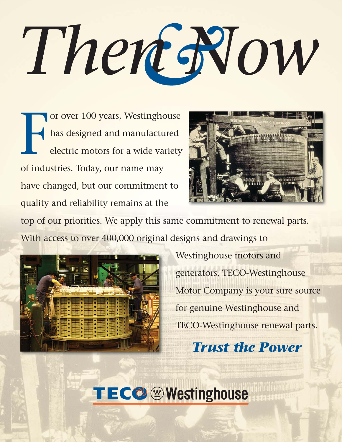# There Now

F or over 100 years, Westinghouse has designed and manufactured electric motors for a wide variety of industries. Today, our name may have changed, but our commitment to quality and reliability remains at the



top of our priorities. We apply this same commitment to renewal parts. With access to over 400,000 original designs and drawings to



Westinghouse motors and generators, TECO-Westinghouse Motor Company is your sure source for genuine Westinghouse and TECO-Westinghouse renewal parts. *Trust the Power*

TECO Westinghouse